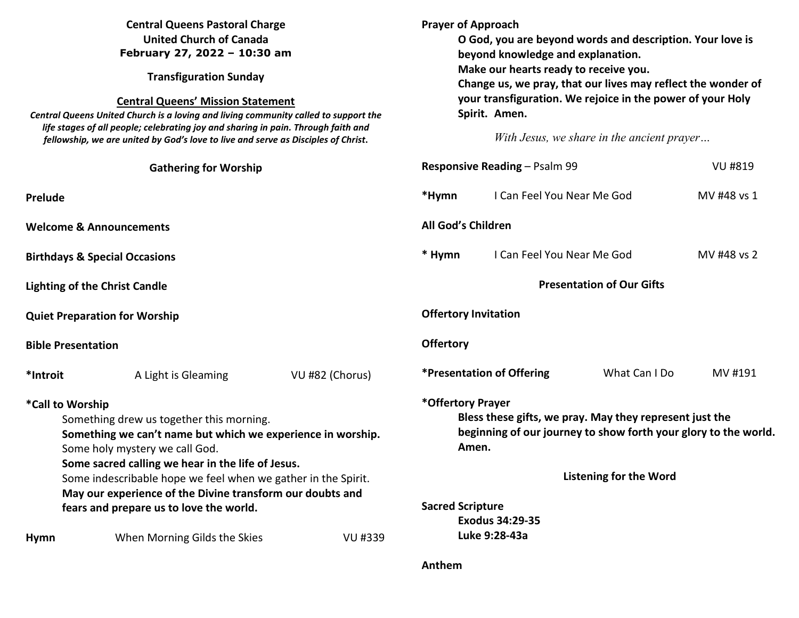| <b>Central Queens Pastoral Charge</b><br><b>United Church of Canada</b><br>February 27, 2022 - 10:30 am<br><b>Transfiguration Sunday</b><br><b>Central Queens' Mission Statement</b><br>Central Queens United Church is a loving and living community called to support the<br>life stages of all people; celebrating joy and sharing in pain. Through faith and<br>fellowship, we are united by God's love to live and serve as Disciples of Christ. |                                          | <b>Prayer of Approach</b><br>O God, you are beyond words and description. Your love is<br>beyond knowledge and explanation.<br>Make our hearts ready to receive you.<br>Change us, we pray, that our lives may reflect the wonder of<br>your transfiguration. We rejoice in the power of your Holy<br>Spirit. Amen.<br>With Jesus, we share in the ancient prayer |                                                                                                                                                                                           |                                         |                |             |
|-------------------------------------------------------------------------------------------------------------------------------------------------------------------------------------------------------------------------------------------------------------------------------------------------------------------------------------------------------------------------------------------------------------------------------------------------------|------------------------------------------|-------------------------------------------------------------------------------------------------------------------------------------------------------------------------------------------------------------------------------------------------------------------------------------------------------------------------------------------------------------------|-------------------------------------------------------------------------------------------------------------------------------------------------------------------------------------------|-----------------------------------------|----------------|-------------|
|                                                                                                                                                                                                                                                                                                                                                                                                                                                       | <b>Gathering for Worship</b>             |                                                                                                                                                                                                                                                                                                                                                                   | <b>Responsive Reading - Psalm 99</b>                                                                                                                                                      |                                         | <b>VU #819</b> |             |
| <b>Prelude</b>                                                                                                                                                                                                                                                                                                                                                                                                                                        |                                          |                                                                                                                                                                                                                                                                                                                                                                   | *Hymn                                                                                                                                                                                     | I Can Feel You Near Me God              |                | MV #48 vs 1 |
| <b>Welcome &amp; Announcements</b>                                                                                                                                                                                                                                                                                                                                                                                                                    |                                          | All God's Children                                                                                                                                                                                                                                                                                                                                                |                                                                                                                                                                                           |                                         |                |             |
|                                                                                                                                                                                                                                                                                                                                                                                                                                                       | <b>Birthdays &amp; Special Occasions</b> |                                                                                                                                                                                                                                                                                                                                                                   | * Hymn                                                                                                                                                                                    | I Can Feel You Near Me God              |                | MV #48 vs 2 |
| <b>Lighting of the Christ Candle</b>                                                                                                                                                                                                                                                                                                                                                                                                                  |                                          | <b>Presentation of Our Gifts</b>                                                                                                                                                                                                                                                                                                                                  |                                                                                                                                                                                           |                                         |                |             |
| <b>Quiet Preparation for Worship</b>                                                                                                                                                                                                                                                                                                                                                                                                                  |                                          | <b>Offertory Invitation</b>                                                                                                                                                                                                                                                                                                                                       |                                                                                                                                                                                           |                                         |                |             |
| <b>Bible Presentation</b>                                                                                                                                                                                                                                                                                                                                                                                                                             |                                          |                                                                                                                                                                                                                                                                                                                                                                   | <b>Offertory</b>                                                                                                                                                                          |                                         |                |             |
| *Introit                                                                                                                                                                                                                                                                                                                                                                                                                                              | A Light is Gleaming                      | VU #82 (Chorus)                                                                                                                                                                                                                                                                                                                                                   |                                                                                                                                                                                           | <i><b>*Presentation of Offering</b></i> | What Can I Do  | MV #191     |
| *Call to Worship<br>Something drew us together this morning.<br>Something we can't name but which we experience in worship.<br>Some holy mystery we call God.<br>Some sacred calling we hear in the life of Jesus.<br>Some indescribable hope we feel when we gather in the Spirit.                                                                                                                                                                   |                                          |                                                                                                                                                                                                                                                                                                                                                                   | *Offertory Prayer<br>Bless these gifts, we pray. May they represent just the<br>beginning of our journey to show forth your glory to the world.<br>Amen.<br><b>Listening for the Word</b> |                                         |                |             |
| May our experience of the Divine transform our doubts and                                                                                                                                                                                                                                                                                                                                                                                             |                                          |                                                                                                                                                                                                                                                                                                                                                                   |                                                                                                                                                                                           |                                         |                |             |
|                                                                                                                                                                                                                                                                                                                                                                                                                                                       | fears and prepare us to love the world.  |                                                                                                                                                                                                                                                                                                                                                                   | <b>Sacred Scripture</b>                                                                                                                                                                   | <b>Exodus 34:29-35</b>                  |                |             |
| <b>Hymn</b>                                                                                                                                                                                                                                                                                                                                                                                                                                           | When Morning Gilds the Skies             | VU #339                                                                                                                                                                                                                                                                                                                                                           |                                                                                                                                                                                           | Luke 9:28-43a                           |                |             |
|                                                                                                                                                                                                                                                                                                                                                                                                                                                       |                                          |                                                                                                                                                                                                                                                                                                                                                                   | Anthem                                                                                                                                                                                    |                                         |                |             |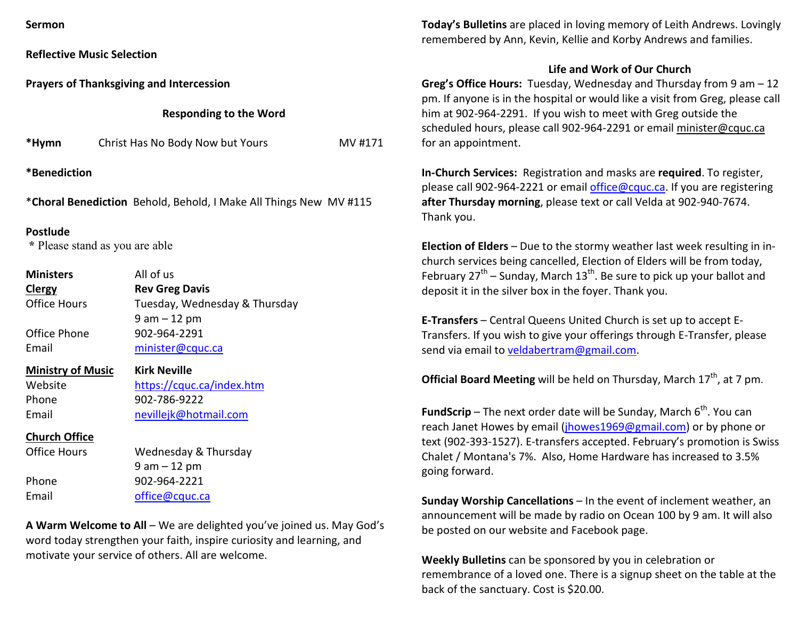**Reflective Music Selection** 

**Prayers of Thanksgiving and Intercession** 

**Responding to the Word** 

| *Hymn | Christ Has No Body Now but Yours | MV #171 |
|-------|----------------------------------|---------|
|-------|----------------------------------|---------|

**\*Benediction** 

\***Choral Benediction** Behold, Behold, I Make All Things New MV #115

## **Postlude**

 **\*** Please stand as you are able

| <b>Ministers</b>    | All of us                     |  |  |
|---------------------|-------------------------------|--|--|
| <b>Clergy</b>       | <b>Rev Greg Davis</b>         |  |  |
| <b>Office Hours</b> | Tuesday, Wednesday & Thursday |  |  |
|                     | $9 am - 12 pm$                |  |  |
| Office Phone        | 902-964-2291                  |  |  |
| Email               | minister@cquc.ca              |  |  |
|                     | 175. . L. N.                  |  |  |

**Ministry of Music Kirk Neville**Website <u>https://cquc.ca/index.htm</u> Phone 902-786-9222 Email nevillejk@hotmail.com

## **Church Office**

| Office Hours | Wednesday & Thursday |
|--------------|----------------------|
|              | $9$ am $-12$ pm      |
| Phone        | 902-964-2221         |
| Email        | office@cquc.ca       |
|              |                      |

**A Warm Welcome to All** – We are delighted you've joined us. May God's word today strengthen your faith, inspire curiosity and learning, and motivate your service of others. All are welcome.

**Today's Bulletins** are placed in loving memory of Leith Andrews. Lovingly remembered by Ann, Kevin, Kellie and Korby Andrews and families.

## **Life and Work of Our Church**

**Greg's Office Hours:** Tuesday, Wednesday and Thursday from 9 am – 12 pm. If anyone is in the hospital or would like a visit from Greg, please call him at 902-964-2291. If you wish to meet with Greg outside the scheduled hours, please call 902-964-2291 or email minister@cquc.ca for an appointment.

**In-Church Services:** Registration and masks are **required**. To register, please call 902-964-2221 or email office@cquc.ca. If you are registering **after Thursday morning**, please text or call Velda at 902-940-7674. Thank you.

**Election of Elders** – Due to the stormy weather last week resulting in inchurch services being cancelled, Election of Elders will be from today, February 27<sup>th</sup> – Sunday, March 13<sup>th</sup>. Be sure to pick up your ballot and deposit it in the silver box in the foyer. Thank you.

**E-Transfers** – Central Queens United Church is set up to accept E-Transfers. If you wish to give your offerings through E-Transfer, please send via email to veldabertram@gmail.com.

**Official Board Meeting** will be held on Thursday, March 17<sup>th</sup>, at 7 pm.

**FundScrip** – The next order date will be Sunday, March  $6<sup>th</sup>$ . You can reach Janet Howes by email (jhowes1969@gmail.com) or by phone or text (902-393-1527). E-transfers accepted. February's promotion is Swiss Chalet / Montana's 7%. Also, Home Hardware has increased to 3.5% going forward.

**Sunday Worship Cancellations** – In the event of inclement weather, an announcement will be made by radio on Ocean 100 by 9 am. It will also be posted on our website and Facebook page.

**Weekly Bulletins** can be sponsored by you in celebration or remembrance of a loved one. There is a signup sheet on the table at the back of the sanctuary. Cost is \$20.00.